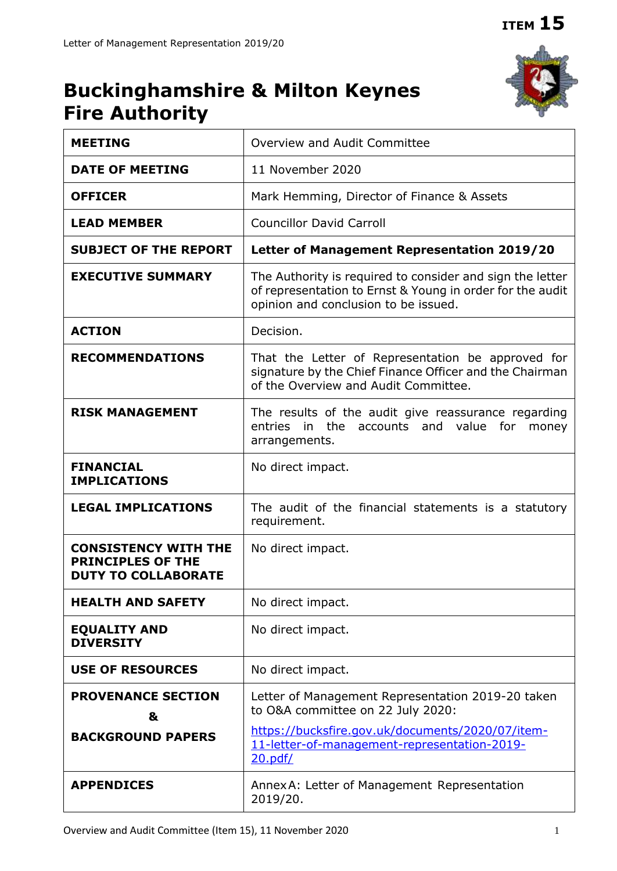# **Buckinghamshire & Milton Keynes Fire Authority**



| <b>MEETING</b>                                                                        | Overview and Audit Committee                                                                                                                                   |
|---------------------------------------------------------------------------------------|----------------------------------------------------------------------------------------------------------------------------------------------------------------|
| <b>DATE OF MEETING</b>                                                                | 11 November 2020                                                                                                                                               |
| <b>OFFICER</b>                                                                        | Mark Hemming, Director of Finance & Assets                                                                                                                     |
| <b>LEAD MEMBER</b>                                                                    | <b>Councillor David Carroll</b>                                                                                                                                |
| <b>SUBJECT OF THE REPORT</b>                                                          | Letter of Management Representation 2019/20                                                                                                                    |
| <b>EXECUTIVE SUMMARY</b>                                                              | The Authority is required to consider and sign the letter<br>of representation to Ernst & Young in order for the audit<br>opinion and conclusion to be issued. |
| <b>ACTION</b>                                                                         | Decision.                                                                                                                                                      |
| <b>RECOMMENDATIONS</b>                                                                | That the Letter of Representation be approved for<br>signature by the Chief Finance Officer and the Chairman<br>of the Overview and Audit Committee.           |
| <b>RISK MANAGEMENT</b>                                                                | The results of the audit give reassurance regarding<br>entries<br>the accounts and value<br>in<br>for<br>money<br>arrangements.                                |
| <b>FINANCIAL</b><br><b>IMPLICATIONS</b>                                               | No direct impact.                                                                                                                                              |
| <b>LEGAL IMPLICATIONS</b>                                                             | The audit of the financial statements is a statutory<br>requirement.                                                                                           |
| <b>CONSISTENCY WITH THE</b><br><b>PRINCIPLES OF THE</b><br><b>DUTY TO COLLABORATE</b> | No direct impact.                                                                                                                                              |
| <b>HEALTH AND SAFETY</b>                                                              | No direct impact.                                                                                                                                              |
| <b>EQUALITY AND</b><br><b>DIVERSITY</b>                                               | No direct impact.                                                                                                                                              |
| <b>USE OF RESOURCES</b>                                                               | No direct impact.                                                                                                                                              |
| <b>PROVENANCE SECTION</b><br>&                                                        | Letter of Management Representation 2019-20 taken<br>to O&A committee on 22 July 2020:<br>https://bucksfire.gov.uk/documents/2020/07/item-                     |
| <b>BACKGROUND PAPERS</b>                                                              | 11-letter-of-management-representation-2019-<br>20.pdf/                                                                                                        |
| <b>APPENDICES</b>                                                                     | Annex A: Letter of Management Representation<br>2019/20.                                                                                                       |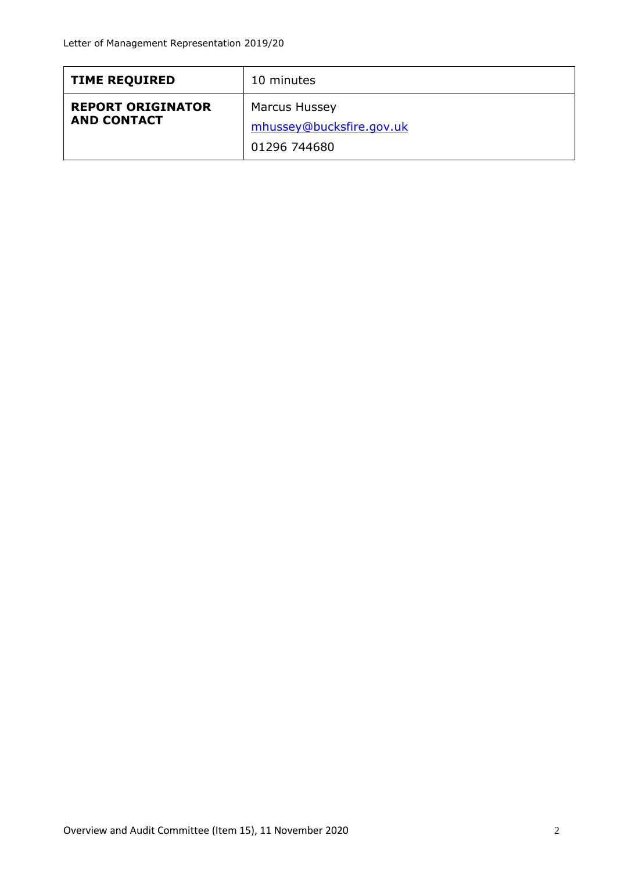| <b>TIME REQUIRED</b>                           | 10 minutes                                                       |
|------------------------------------------------|------------------------------------------------------------------|
| <b>REPORT ORIGINATOR</b><br><b>AND CONTACT</b> | <b>Marcus Hussey</b><br>mhussey@bucksfire.gov.uk<br>01296 744680 |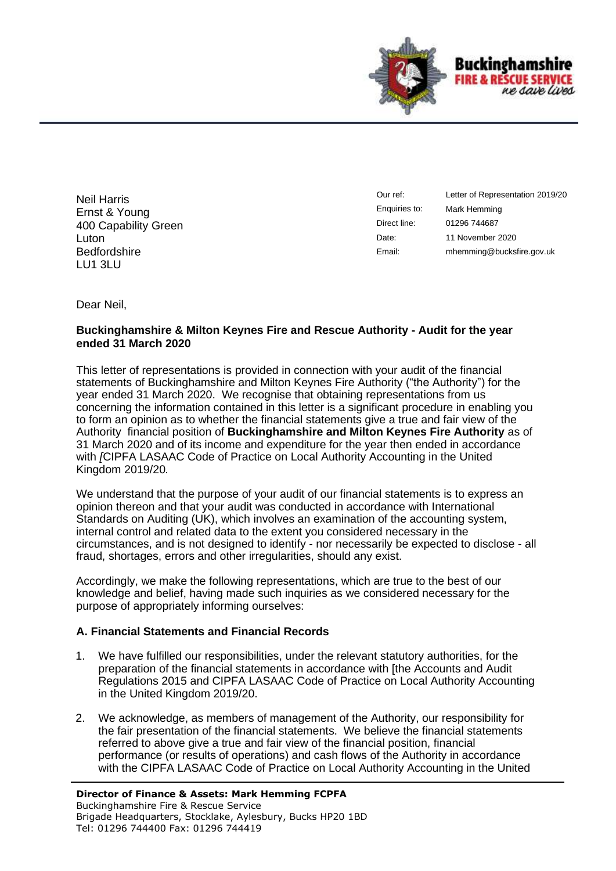

Neil Harris Ernst & Young 400 Capability Green Luton **Bedfordshire** LU1 3LU

Our ref: Enquiries to: Direct line: Date: Email:

Letter of Representation 2019/20 Mark Hemming 01296 744687 11 November 2020 mhemming@bucksfire.gov.uk

Dear Neil,

## **Buckinghamshire & Milton Keynes Fire and Rescue Authority - Audit for the year ended 31 March 2020**

This letter of representations is provided in connection with your audit of the financial statements of Buckinghamshire and Milton Keynes Fire Authority ("the Authority") for the year ended 31 March 2020. We recognise that obtaining representations from us concerning the information contained in this letter is a significant procedure in enabling you to form an opinion as to whether the financial statements give a true and fair view of the Authority financial position of **Buckinghamshire and Milton Keynes Fire Authority** as of 31 March 2020 and of its income and expenditure for the year then ended in accordance with *[*CIPFA LASAAC Code of Practice on Local Authority Accounting in the United Kingdom 2019/20*.* 

We understand that the purpose of your audit of our financial statements is to express an opinion thereon and that your audit was conducted in accordance with International Standards on Auditing (UK), which involves an examination of the accounting system, internal control and related data to the extent you considered necessary in the circumstances, and is not designed to identify - nor necessarily be expected to disclose - all fraud, shortages, errors and other irregularities, should any exist.

Accordingly, we make the following representations, which are true to the best of our knowledge and belief, having made such inquiries as we considered necessary for the purpose of appropriately informing ourselves:

## **A. Financial Statements and Financial Records**

- 1. We have fulfilled our responsibilities, under the relevant statutory authorities, for the preparation of the financial statements in accordance with [the Accounts and Audit Regulations 2015 and CIPFA LASAAC Code of Practice on Local Authority Accounting in the United Kingdom 2019/20.
- 2. We acknowledge, as members of management of the Authority, our responsibility for the fair presentation of the financial statements. We believe the financial statements referred to above give a true and fair view of the financial position, financial performance (or results of operations) and cash flows of the Authority in accordance with the CIPFA LASAAC Code of Practice on Local Authority Accounting in the United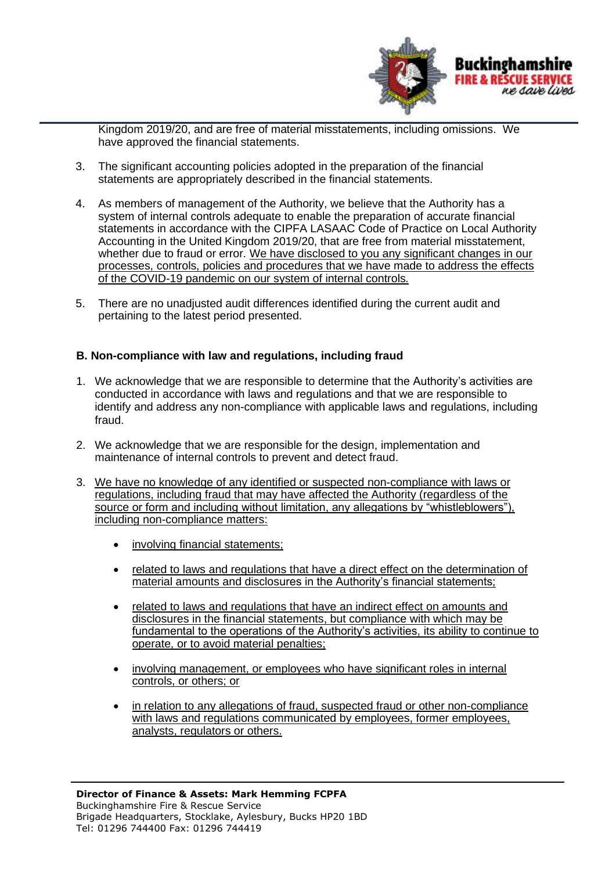

Kingdom 2019/20, and are free of material misstatements, including omissions. We have approved the financial statements.

- 3. The significant accounting policies adopted in the preparation of the financial statements are appropriately described in the financial statements.
- 4. As members of management of the Authority, we believe that the Authority has a system of internal controls adequate to enable the preparation of accurate financial statements in accordance with the CIPFA LASAAC Code of Practice on Local Authority Accounting in the United Kingdom 2019/20, that are free from material misstatement, whether due to fraud or error. We have disclosed to you any significant changes in our processes, controls, policies and procedures that we have made to address the effects of the COVID-19 pandemic on our system of internal controls*.*
- 5. There are no unadjusted audit differences identified during the current audit and pertaining to the latest period presented.

## **B. Non-compliance with law and regulations, including fraud**

- 1. We acknowledge that we are responsible to determine that the Authority's activities are conducted in accordance with laws and regulations and that we are responsible to identify and address any non-compliance with applicable laws and regulations, including fraud.
- 2. We acknowledge that we are responsible for the design, implementation and maintenance of internal controls to prevent and detect fraud.
- 3. We have no knowledge of any identified or suspected non-compliance with laws or regulations, including fraud that may have affected the Authority (regardless of the source or form and including without limitation, any allegations by "whistleblowers"), including non-compliance matters:
	- involving financial statements;
	- related to laws and regulations that have a direct effect on the determination of material amounts and disclosures in the Authority's financial statements;
	- related to laws and regulations that have an indirect effect on amounts and disclosures in the financial statements, but compliance with which may be fundamental to the operations of the Authority's activities, its ability to continue to operate, or to avoid material penalties;
	- involving management, or employees who have significant roles in internal controls, or others; or
	- in relation to any allegations of fraud, suspected fraud or other non-compliance with laws and regulations communicated by employees, former employees, analysts, regulators or others.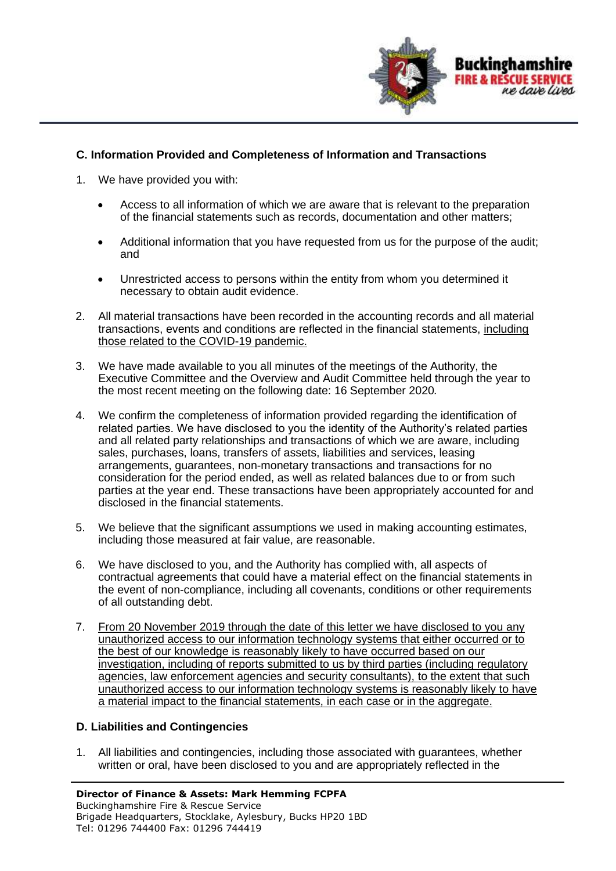

# **C. Information Provided and Completeness of Information and Transactions**

- 1. We have provided you with:
	- Access to all information of which we are aware that is relevant to the preparation of the financial statements such as records, documentation and other matters;
	- Additional information that you have requested from us for the purpose of the audit; and
	- Unrestricted access to persons within the entity from whom you determined it necessary to obtain audit evidence.
- 2. All material transactions have been recorded in the accounting records and all material transactions, events and conditions are reflected in the financial statements, including those related to the COVID-19 pandemic.
- 3. We have made available to you all minutes of the meetings of the Authority, the Executive Committee and the Overview and Audit Committee held through the year to the most recent meeting on the following date: 16 September 2020*.*
- 4. We confirm the completeness of information provided regarding the identification of related parties. We have disclosed to you the identity of the Authority's related parties and all related party relationships and transactions of which we are aware, including sales, purchases, loans, transfers of assets, liabilities and services, leasing arrangements, guarantees, non-monetary transactions and transactions for no consideration for the period ended, as well as related balances due to or from such parties at the year end. These transactions have been appropriately accounted for and disclosed in the financial statements.
- 5. We believe that the significant assumptions we used in making accounting estimates, including those measured at fair value, are reasonable.
- 6. We have disclosed to you, and the Authority has complied with, all aspects of contractual agreements that could have a material effect on the financial statements in the event of non-compliance, including all covenants, conditions or other requirements of all outstanding debt.
- 7. From 20 November 2019 through the date of this letter we have disclosed to you any unauthorized access to our information technology systems that either occurred or to the best of our knowledge is reasonably likely to have occurred based on our investigation, including of reports submitted to us by third parties (including regulatory agencies, law enforcement agencies and security consultants), to the extent that such unauthorized access to our information technology systems is reasonably likely to have a material impact to the financial statements, in each case or in the aggregate.

## **D. Liabilities and Contingencies**

1. All liabilities and contingencies, including those associated with guarantees, whether written or oral, have been disclosed to you and are appropriately reflected in the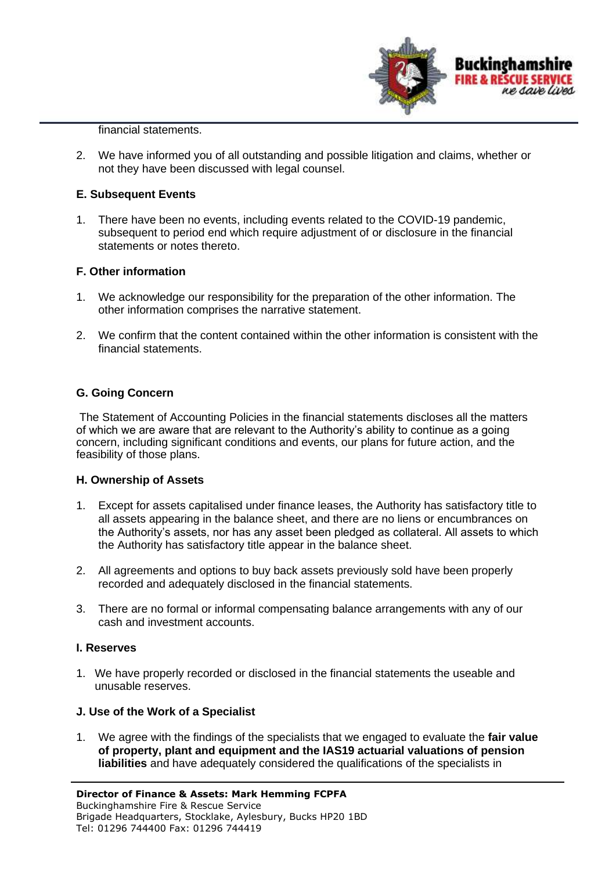

financial statements.

2. We have informed you of all outstanding and possible litigation and claims, whether or not they have been discussed with legal counsel.

## **E. Subsequent Events**

1. There have been no events, including events related to the COVID-19 pandemic, subsequent to period end which require adjustment of or disclosure in the financial statements or notes thereto.

## **F. Other information**

- 1. We acknowledge our responsibility for the preparation of the other information. The other information comprises the narrative statement.
- 2. We confirm that the content contained within the other information is consistent with the financial statements.

# **G. Going Concern**

The Statement of Accounting Policies in the financial statements discloses all the matters of which we are aware that are relevant to the Authority's ability to continue as a going concern, including significant conditions and events, our plans for future action, and the feasibility of those plans.

## **H. Ownership of Assets**

- 1. Except for assets capitalised under finance leases, the Authority has satisfactory title to all assets appearing in the balance sheet, and there are no liens or encumbrances on the Authority's assets, nor has any asset been pledged as collateral. All assets to which the Authority has satisfactory title appear in the balance sheet.
- 2. All agreements and options to buy back assets previously sold have been properly recorded and adequately disclosed in the financial statements.
- 3. There are no formal or informal compensating balance arrangements with any of our cash and investment accounts.

## **I. Reserves**

1. We have properly recorded or disclosed in the financial statements the useable and unusable reserves.

## **J. Use of the Work of a Specialist**

1. We agree with the findings of the specialists that we engaged to evaluate the **fair value of property, plant and equipment and the IAS19 actuarial valuations of pension liabilities** and have adequately considered the qualifications of the specialists in